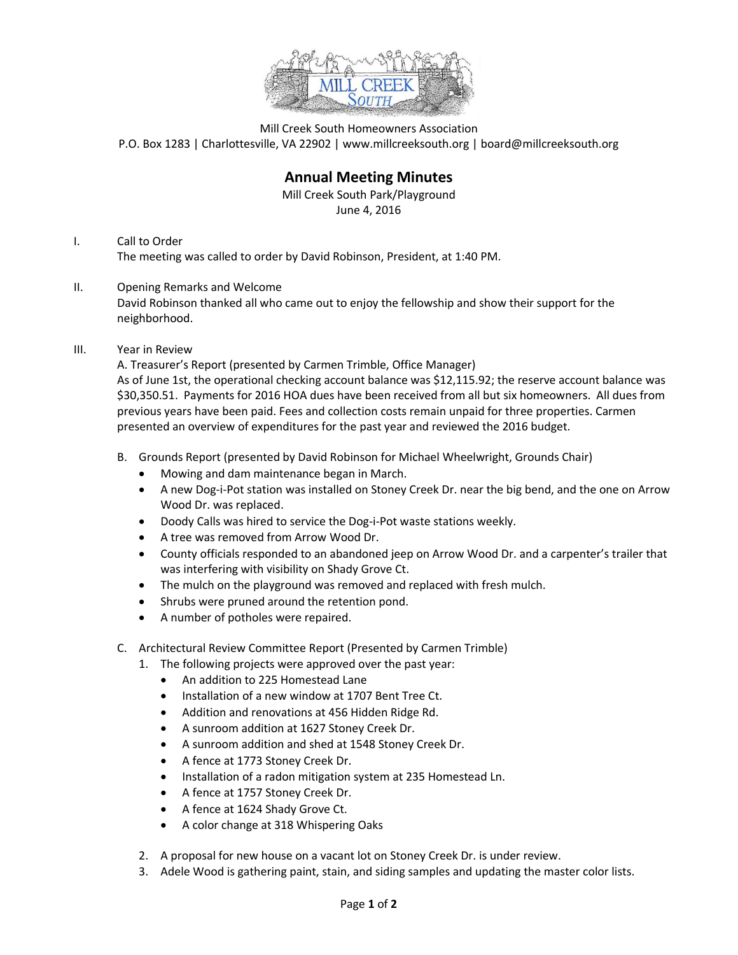

Mill Creek South Homeowners Association P.O. Box 1283 | Charlottesville, VA 22902 | www.millcreeksouth.org | board@millcreeksouth.org

## **Annual Meeting Minutes**

Mill Creek South Park/Playground June 4, 2016

- I. Call to Order The meeting was called to order by David Robinson, President, at 1:40 PM.
- II. Opening Remarks and Welcome David Robinson thanked all who came out to enjoy the fellowship and show their support for the neighborhood.
- III. Year in Review

A. Treasurer's Report (presented by Carmen Trimble, Office Manager) As of June 1st, the operational checking account balance was \$12,115.92; the reserve account balance was \$30,350.51. Payments for 2016 HOA dues have been received from all but six homeowners. All dues from previous years have been paid. Fees and collection costs remain unpaid for three properties. Carmen presented an overview of expenditures for the past year and reviewed the 2016 budget.

- B. Grounds Report (presented by David Robinson for Michael Wheelwright, Grounds Chair)
	- Mowing and dam maintenance began in March.
	- A new Dog-i-Pot station was installed on Stoney Creek Dr. near the big bend, and the one on Arrow Wood Dr. was replaced.
	- Doody Calls was hired to service the Dog-i-Pot waste stations weekly.
	- A tree was removed from Arrow Wood Dr.
	- County officials responded to an abandoned jeep on Arrow Wood Dr. and a carpenter's trailer that was interfering with visibility on Shady Grove Ct.
	- The mulch on the playground was removed and replaced with fresh mulch.
	- Shrubs were pruned around the retention pond.
	- A number of potholes were repaired.
- C. Architectural Review Committee Report (Presented by Carmen Trimble)
	- 1. The following projects were approved over the past year:
		- An addition to 225 Homestead Lane
		- Installation of a new window at 1707 Bent Tree Ct.
		- Addition and renovations at 456 Hidden Ridge Rd.
		- A sunroom addition at 1627 Stoney Creek Dr.
		- A sunroom addition and shed at 1548 Stoney Creek Dr.
		- A fence at 1773 Stoney Creek Dr.
		- Installation of a radon mitigation system at 235 Homestead Ln.
		- A fence at 1757 Stoney Creek Dr.
		- A fence at 1624 Shady Grove Ct.
		- A color change at 318 Whispering Oaks
	- 2. A proposal for new house on a vacant lot on Stoney Creek Dr. is under review.
	- 3. Adele Wood is gathering paint, stain, and siding samples and updating the master color lists.